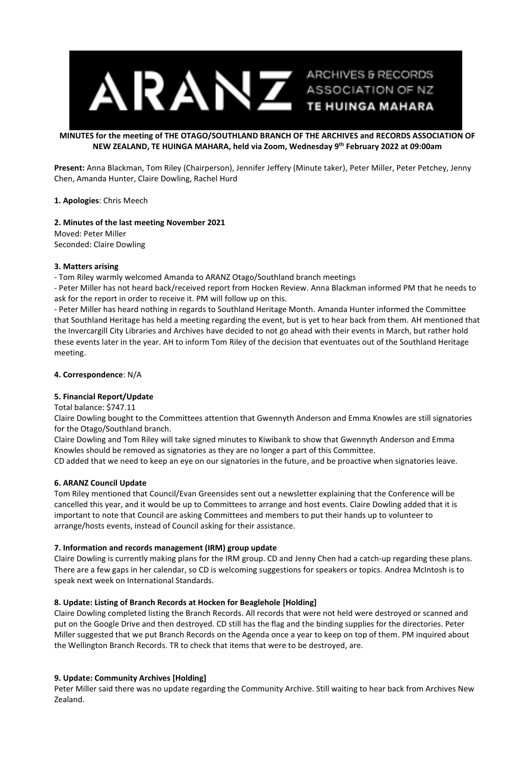

# **MINUTES for the meeting of THE OTAGO/SOUTHLAND BRANCH OF THE ARCHIVES and RECORDS ASSOCIATION OF NEW ZEALAND, TE HUINGA MAHARA, held via Zoom, Wednesday 9 th February 2022 at 09:00am**

**Present:** Anna Blackman, Tom Riley (Chairperson), Jennifer Jeffery (Minute taker), Peter Miller, Peter Petchey, Jenny Chen, Amanda Hunter, Claire Dowling, Rachel Hurd

**1. Apologies**: Chris Meech

**2. Minutes of the last meeting November 2021** Moved: Peter Miller Seconded: Claire Dowling

#### **3. Matters arising**

- Tom Riley warmly welcomed Amanda to ARANZ Otago/Southland branch meetings

- Peter Miller has not heard back/received report from Hocken Review. Anna Blackman informed PM that he needs to ask for the report in order to receive it. PM will follow up on this.

- Peter Miller has heard nothing in regards to Southland Heritage Month. Amanda Hunter informed the Committee that Southland Heritage has held a meeting regarding the event, but is yet to hear back from them. AH mentioned that the Invercargill City Libraries and Archives have decided to not go ahead with their events in March, but rather hold these events later in the year. AH to inform Tom Riley of the decision that eventuates out of the Southland Heritage meeting.

## **4. Correspondence**: N/A

## **5. Financial Report/Update**

Total balance: \$747.11

Claire Dowling bought to the Committees attention that Gwennyth Anderson and Emma Knowles are still signatories for the Otago/Southland branch.

Claire Dowling and Tom Riley will take signed minutes to Kiwibank to show that Gwennyth Anderson and Emma Knowles should be removed as signatories as they are no longer a part of this Committee.

CD added that we need to keep an eye on our signatories in the future, and be proactive when signatories leave.

## **6. ARANZ Council Update**

Tom Riley mentioned that Council/Evan Greensides sent out a newsletter explaining that the Conference will be cancelled this year, and it would be up to Committees to arrange and host events. Claire Dowling added that it is important to note that Council are asking Committees and members to put their hands up to volunteer to arrange/hosts events, instead of Council asking for their assistance.

## **7. Information and records management (IRM) group update**

Claire Dowling is currently making plans for the IRM group. CD and Jenny Chen had a catch-up regarding these plans. There are a few gaps in her calendar, so CD is welcoming suggestions for speakers or topics. Andrea McIntosh is to speak next week on International Standards.

## **8. Update: Listing of Branch Records at Hocken for Beaglehole [Holding]**

Claire Dowling completed listing the Branch Records. All records that were not held were destroyed or scanned and put on the Google Drive and then destroyed. CD still has the flag and the binding supplies for the directories. Peter Miller suggested that we put Branch Records on the Agenda once a year to keep on top of them. PM inquired about the Wellington Branch Records. TR to check that items that were to be destroyed, are.

## **9. Update: Community Archives [Holding]**

Peter Miller said there was no update regarding the Community Archive. Still waiting to hear back from Archives New Zealand.